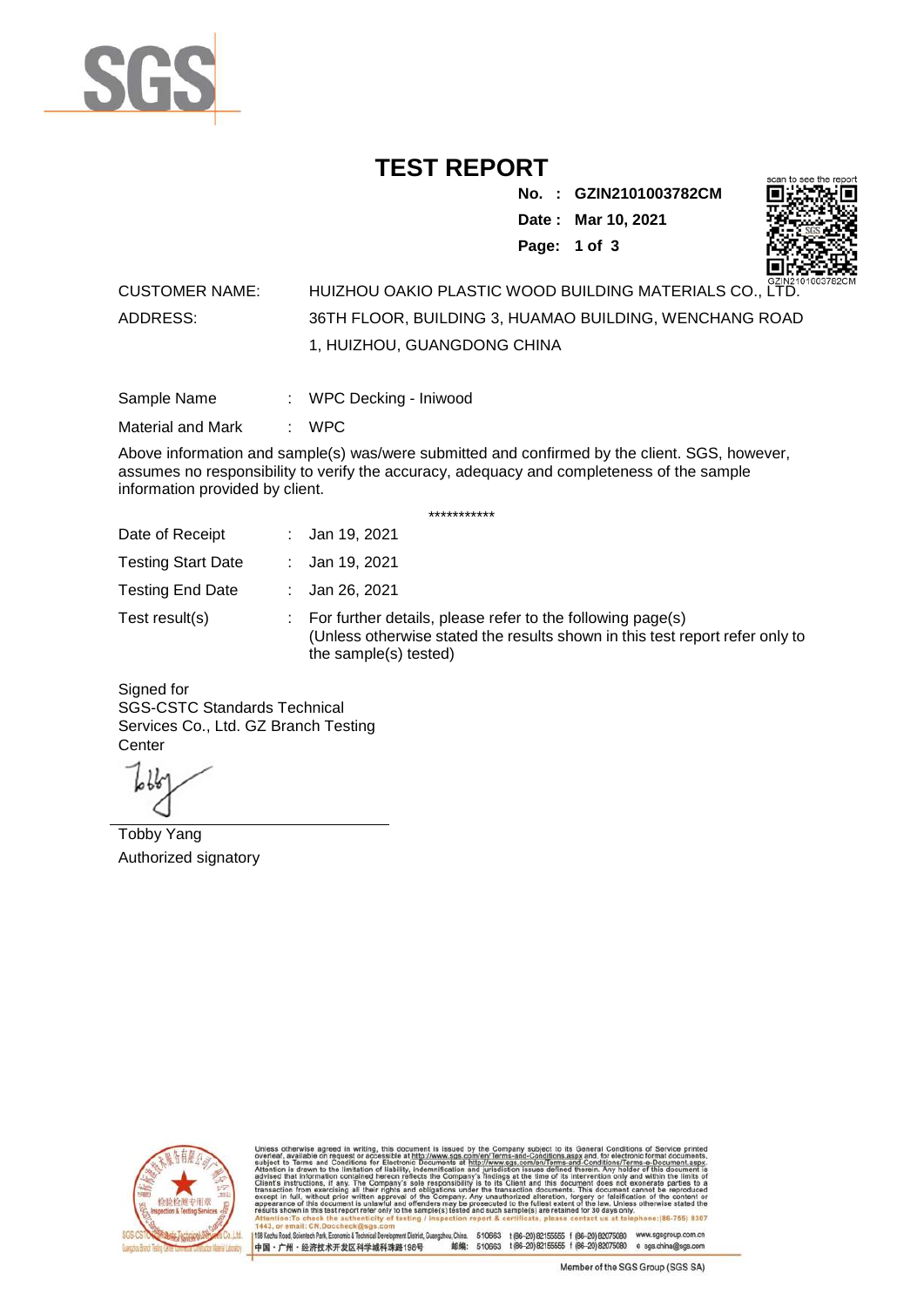

## **TEST REPORT**

**No. : GZIN2101003782CM Date : Mar 10, 2021 Page: 1 of 3** 



## CUSTOMER NAME: HUIZHOU OAKIO PLASTIC WOOD BUILDING MATERIALS CO., LTD. ADDRESS: 36TH FLOOR, BUILDING 3, HUAMAO BUILDING, WENCHANG ROAD 1, HUIZHOU, GUANGDONG CHINA

| Sample Name | WPC Decking - Iniwood |  |
|-------------|-----------------------|--|
|             |                       |  |

Material and Mark : WPC

Above information and sample(s) was/were submitted and confirmed by the client. SGS, however, assumes no responsibility to verify the accuracy, adequacy and completeness of the sample information provided by client.

\*\*\*\*\*\*\*\*\*\*\*

| Date of Receipt           | : Jan 19, 2021                                                                                                                                                        |
|---------------------------|-----------------------------------------------------------------------------------------------------------------------------------------------------------------------|
| <b>Testing Start Date</b> | : Jan 19, 2021                                                                                                                                                        |
| <b>Testing End Date</b>   | : Jan 26, 2021                                                                                                                                                        |
| Test result(s)            | : For further details, please refer to the following page(s)<br>(Unless otherwise stated the results shown in this test report refer only to<br>the sample(s) tested) |

Signed for SGS-CSTC Standards Technical Services Co., Ltd. GZ Branch Testing **Center** 

Tobby Yang Authorized signatory



510663 t(86-20) 82155555 f (86-20) 82075080 www.sgsgroup.com.cn<br>510663 t(86-20) 82155555 f (86-20) 82075080 e sgs.china@sgs.com 198 Kezhu Road, Scientech Park, Economic & Technical Devel hou, China. ant District G 邮编: 中国·广州·经济技术开发区科学城科珠路198号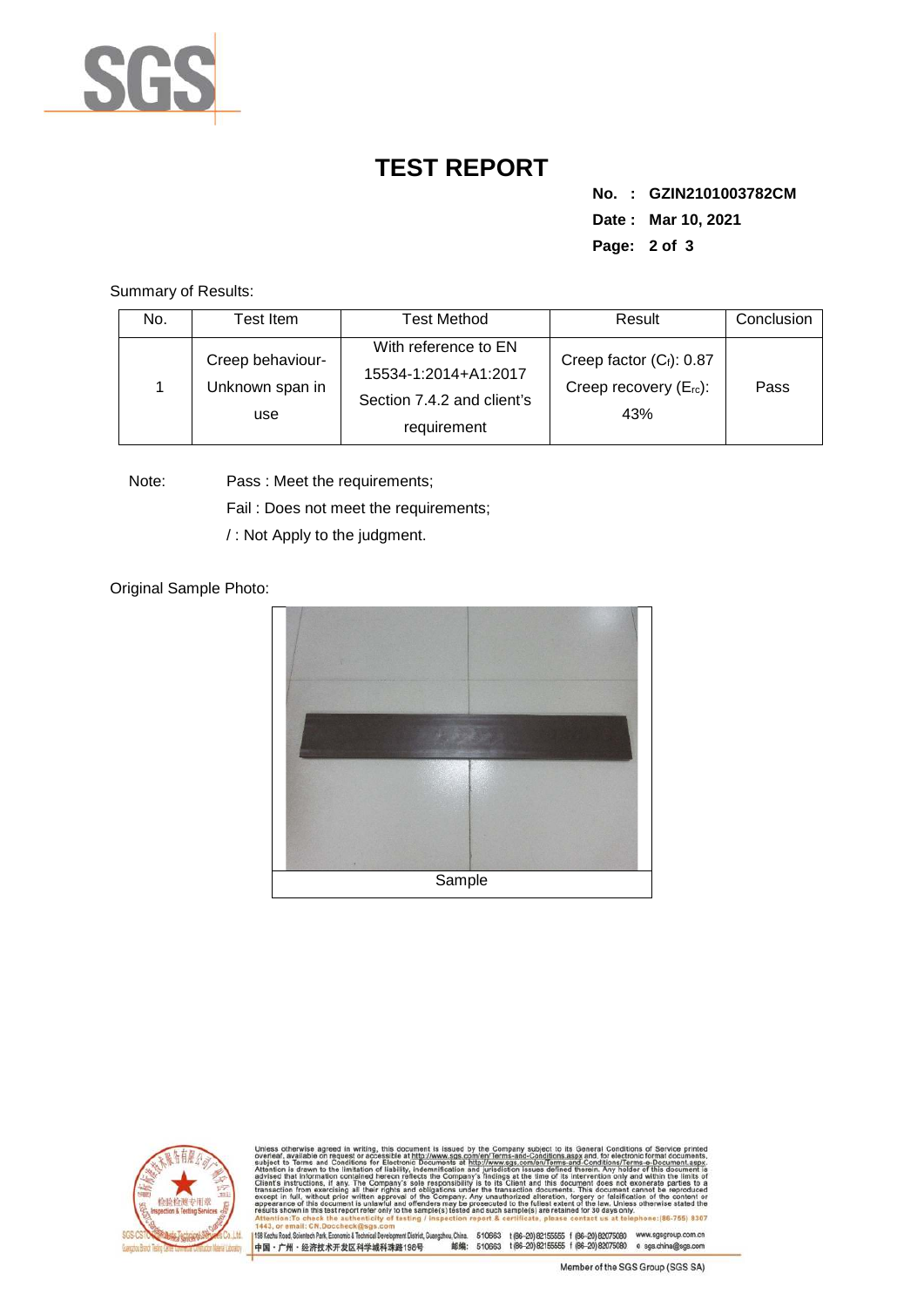

## **TEST REPORT**

**No. : GZIN2101003782CM Date : Mar 10, 2021 Page: 2 of 3** 

Summary of Results:

| No. | Test Item.                                 | <b>Test Method</b>                                                                        | Result                                                            | Conclusion |
|-----|--------------------------------------------|-------------------------------------------------------------------------------------------|-------------------------------------------------------------------|------------|
|     | Creep behaviour-<br>Unknown span in<br>use | With reference to EN<br>15534-1:2014+A1:2017<br>Section 7.4.2 and client's<br>requirement | Creep factor $(C_i)$ : 0.87<br>Creep recovery $(E_{rc})$ :<br>43% | Pass       |

Note: Pass : Meet the requirements; Fail : Does not meet the requirements;

/ : Not Apply to the judgment.

Original Sample Photo:





Conditions/Terms-e-Docu<br>Irein, Any holder of this d 8307 198 Kezhu Road, Scientech Park, Economic & Technical Develop 中国·广州·经济技术开发区科学城科珠路198号